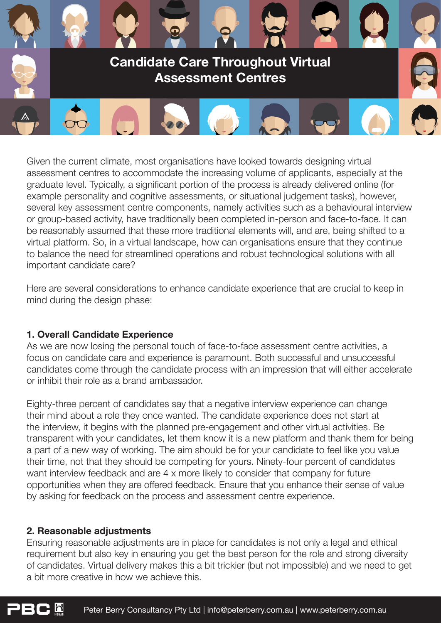

Given the current climate, most organisations have looked towards designing virtual assessment centres to accommodate the increasing volume of applicants, especially at the graduate level. Typically, a significant portion of the process is already delivered online (for example personality and cognitive assessments, or situational judgement tasks), however, several key assessment centre components, namely activities such as a behavioural interview or group-based activity, have traditionally been completed in-person and face-to-face. It can be reasonably assumed that these more traditional elements will, and are, being shifted to a virtual platform. So, in a virtual landscape, how can organisations ensure that they continue to balance the need for streamlined operations and robust technological solutions with all important candidate care?

Here are several considerations to enhance candidate experience that are crucial to keep in mind during the design phase:

# **1. Overall Candidate Experience**

As we are now losing the personal touch of face-to-face assessment centre activities, a focus on candidate care and experience is paramount. Both successful and unsuccessful candidates come through the candidate process with an impression that will either accelerate or inhibit their role as a brand ambassador.

Eighty-three percent of candidates say that a negative interview experience can change their mind about a role they once wanted. The candidate experience does not start at the interview, it begins with the planned pre-engagement and other virtual activities. Be transparent with your candidates, let them know it is a new platform and thank them for being a part of a new way of working. The aim should be for your candidate to feel like you value their time, not that they should be competing for yours. Ninety-four percent of candidates want interview feedback and are 4 x more likely to consider that company for future opportunities when they are offered feedback. Ensure that you enhance their sense of value by asking for feedback on the process and assessment centre experience.

### **2. Reasonable adjustments**

Ensuring reasonable adjustments are in place for candidates is not only a legal and ethical requirement but also key in ensuring you get the best person for the role and strong diversity of candidates. Virtual delivery makes this a bit trickier (but not impossible) and we need to get a bit more creative in how we achieve this.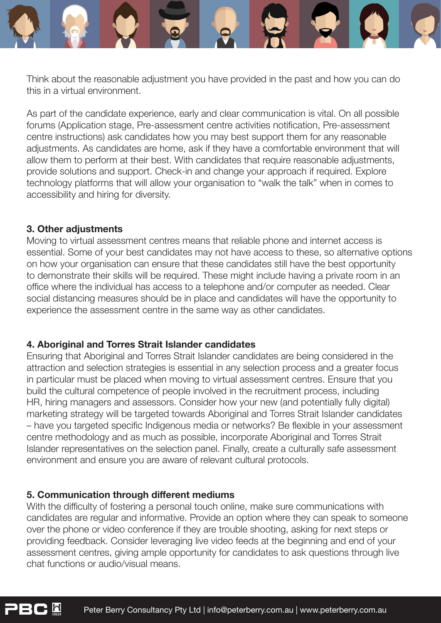

Think about the reasonable adjustment you have provided in the past and how you can do this in a virtual environment.

As part of the candidate experience, early and clear communication is vital. On all possible forums (Application stage, Pre-assessment centre activities notification, Pre-assessment centre instructions) ask candidates how you may best support them for any reasonable adjustments. As candidates are home, ask if they have a comfortable environment that will allow them to perform at their best. With candidates that require reasonable adjustments, provide solutions and support. Check-in and change your approach if required. Explore technology platforms that will allow your organisation to "walk the talk" when in comes to accessibility and hiring for diversity.

## **3. Other adjustments**

h

Moving to virtual assessment centres means that reliable phone and internet access is essential. Some of your best candidates may not have access to these, so alternative options on how your organisation can ensure that these candidates still have the best opportunity to demonstrate their skills will be required. These might include having a private room in an office where the individual has access to a telephone and/or computer as needed. Clear social distancing measures should be in place and candidates will have the opportunity to experience the assessment centre in the same way as other candidates.

# **4. Aboriginal and Torres Strait Islander candidates**

Ensuring that Aboriginal and Torres Strait Islander candidates are being considered in the attraction and selection strategies is essential in any selection process and a greater focus in particular must be placed when moving to virtual assessment centres. Ensure that you build the cultural competence of people involved in the recruitment process, including HR, hiring managers and assessors. Consider how your new (and potentially fully digital) marketing strategy will be targeted towards Aboriginal and Torres Strait Islander candidates – have you targeted specific Indigenous media or networks? Be flexible in your assessment centre methodology and as much as possible, incorporate Aboriginal and Torres Strait Islander representatives on the selection panel. Finally, create a culturally safe assessment environment and ensure you are aware of relevant cultural protocols.

# **5. Communication through different mediums**

With the difficulty of fostering a personal touch online, make sure communications with candidates are regular and informative. Provide an option where they can speak to someone over the phone or video conference if they are trouble shooting, asking for next steps or providing feedback. Consider leveraging live video feeds at the beginning and end of your assessment centres, giving ample opportunity for candidates to ask questions through live chat functions or audio/visual means.